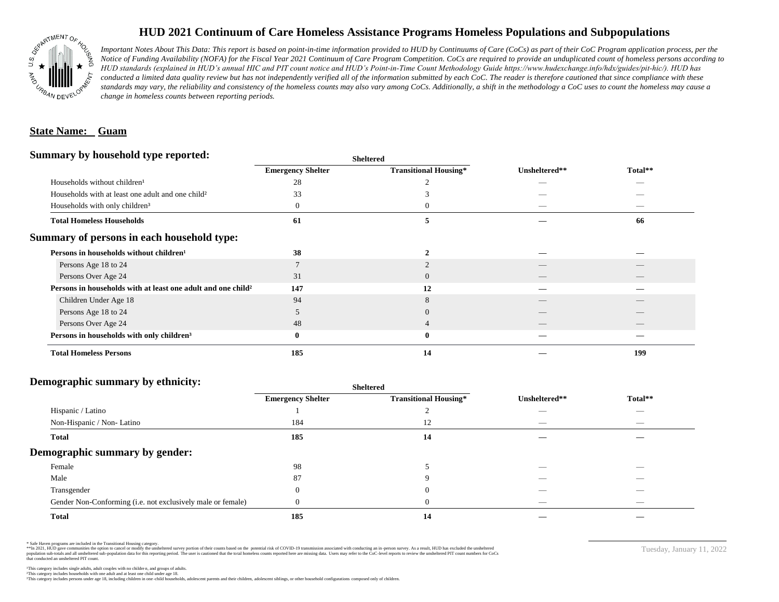

# **HUD 2021 Continuum of Care Homeless Assistance Programs Homeless Populations and Subpopulations**

*Important Notes About This Data: This report is based on point-in-time information provided to HUD by Continuums of Care (CoCs) as part of their CoC Program application process, per the Notice of Funding Availability (NOFA) for the Fiscal Year 2021 Continuum of Care Program Competition. CoCs are required to provide an unduplicated count of homeless persons according to HUD standards (explained in HUD's annual HIC and PIT count notice and HUD's Point-in-Time Count Methodology Guide https://www.hudexchange.info/hdx/guides/pit-hic/). HUD has*  conducted a limited data quality review but has not independently verified all of the information submitted by each CoC. The reader is therefore cautioned that since compliance with these standards may vary, the reliability and consistency of the homeless counts may also vary among CoCs. Additionally, a shift in the methodology a CoC uses to count the homeless may cause a *change in homeless counts between reporting periods.*

### **State Name: Guam**

#### **Summary by household type reported:**

| <b>Emergency Shelter</b> | <b>Transitional Housing*</b> | Unsheltered** | Total** |  |
|--------------------------|------------------------------|---------------|---------|--|
| 28                       |                              |               | --      |  |
| 33                       |                              |               |         |  |
| U                        |                              |               |         |  |
| 61                       |                              |               | 66      |  |
|                          |                              |               |         |  |
| 38                       |                              |               |         |  |
|                          |                              |               |         |  |
| 31                       | $\Omega$                     |               |         |  |
| 147                      | 12                           |               |         |  |
| 94                       |                              |               |         |  |
|                          |                              |               |         |  |
| 48                       |                              |               |         |  |
| 0                        | $\bf{0}$                     |               |         |  |
| 185                      | 14                           |               | 199     |  |
|                          |                              | patter        |         |  |

**Sheltered**

## **Demographic summary by ethnicity:**

|                                                             | Sheltered                |                              |                          |                                |
|-------------------------------------------------------------|--------------------------|------------------------------|--------------------------|--------------------------------|
|                                                             | <b>Emergency Shelter</b> | <b>Transitional Housing*</b> | Unsheltered**            | Total**                        |
| Hispanic / Latino                                           |                          |                              |                          | $\overline{\phantom{a}}$       |
| Non-Hispanic / Non-Latino                                   | 184                      | 12                           |                          | $\overbrace{\hspace{25mm}}^{}$ |
| <b>Total</b>                                                | 185                      | 14                           |                          |                                |
| Demographic summary by gender:                              |                          |                              |                          |                                |
| Female                                                      | 98                       |                              |                          |                                |
| Male                                                        | 87                       |                              |                          | __                             |
| Transgender                                                 |                          | $\theta$                     |                          | $\overbrace{\hspace{25mm}}^{}$ |
| Gender Non-Conforming (i.e. not exclusively male or female) |                          | 0                            | $\overline{\phantom{a}}$ | $\sim$                         |
| <b>Total</b>                                                | 185                      | 14                           |                          |                                |

\* Safe Haven programs are included in the Transitional Housing category.

\*\*In 2021, HUD gave communities the option to cancel or modify the unsheltered survey portion of their counts based on the potential risk of COVID-19 transmission associated with conducting an in-person survey. As a result n political data for this reporting period. The user is cautioned that the total homeless counts reported here are missing data. Users may refer to the CoC-level reports to review the unshellered PIT count numbers for CoCs that conducted an unsheltered PIT count.

Tuesday, January 11, 2022